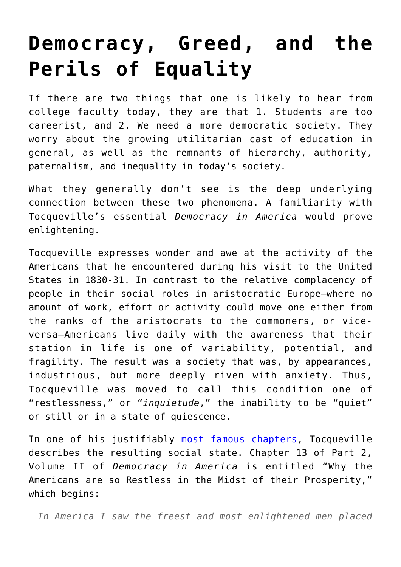## **[Democracy, Greed, and the](https://intellectualtakeout.org/2016/01/democracy-greed-and-the-perils-of-equality/) [Perils of Equality](https://intellectualtakeout.org/2016/01/democracy-greed-and-the-perils-of-equality/)**

If there are two things that one is likely to hear from college faculty today, they are that 1. Students are too careerist, and 2. We need a more democratic society. They worry about the growing utilitarian cast of education in general, as well as the remnants of hierarchy, authority, paternalism, and inequality in today's society.

What they generally don't see is the deep underlying connection between these two phenomena. A familiarity with Tocqueville's essential *Democracy in America* would prove enlightening.

Tocqueville expresses wonder and awe at the activity of the Americans that he encountered during his visit to the United States in 1830-31. In contrast to the relative complacency of people in their social roles in aristocratic Europe—where no amount of work, effort or activity could move one either from the ranks of the aristocrats to the commoners, or viceversa—Americans live daily with the awareness that their station in life is one of variability, potential, and fragility. The result was a society that was, by appearances, industrious, but more deeply riven with anxiety. Thus, Tocqueville was moved to call this condition one of "restlessness," or "*inquietude*," the inability to be "quiet" or still or in a state of quiescence.

In one of his justifiably [most famous chapters,](http://xroads.virginia.edu/%7EHYPER/detoc/ch2_13.htm) Tocqueville describes the resulting social state. Chapter 13 of Part 2, Volume II of *Democracy in America* is entitled "Why the Americans are so Restless in the Midst of their Prosperity," which begins:

*In America I saw the freest and most enlightened men placed*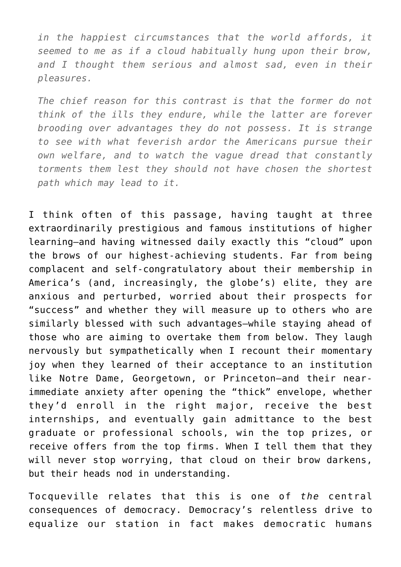*in the happiest circumstances that the world affords, it seemed to me as if a cloud habitually hung upon their brow, and I thought them serious and almost sad, even in their pleasures.*

*The chief reason for this contrast is that the former do not think of the ills they endure, while the latter are forever brooding over advantages they do not possess. It is strange to see with what feverish ardor the Americans pursue their own welfare, and to watch the vague dread that constantly torments them lest they should not have chosen the shortest path which may lead to it.*

I think often of this passage, having taught at three extraordinarily prestigious and famous institutions of higher learning—and having witnessed daily exactly this "cloud" upon the brows of our highest-achieving students. Far from being complacent and self-congratulatory about their membership in America's (and, increasingly, the globe's) elite, they are anxious and perturbed, worried about their prospects for "success" and whether they will measure up to others who are similarly blessed with such advantages—while staying ahead of those who are aiming to overtake them from below. They laugh nervously but sympathetically when I recount their momentary joy when they learned of their acceptance to an institution like Notre Dame, Georgetown, or Princeton—and their nearimmediate anxiety after opening the "thick" envelope, whether they'd enroll in the right major, receive the best internships, and eventually gain admittance to the best graduate or professional schools, win the top prizes, or receive offers from the top firms. When I tell them that they will never stop worrying, that cloud on their brow darkens, but their heads nod in understanding.

Tocqueville relates that this is one of *the* central consequences of democracy. Democracy's relentless drive to equalize our station in fact makes democratic humans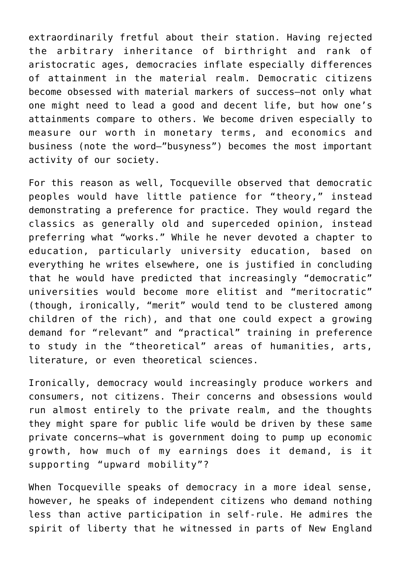extraordinarily fretful about their station. Having rejected the arbitrary inheritance of birthright and rank of aristocratic ages, democracies inflate especially differences of attainment in the material realm. Democratic citizens become obsessed with material markers of success—not only what one might need to lead a good and decent life, but how one's attainments compare to others. We become driven especially to measure our worth in monetary terms, and economics and business (note the word—"busyness") becomes the most important activity of our society.

For this reason as well, Tocqueville observed that democratic peoples would have little patience for "theory," instead demonstrating a preference for practice. They would regard the classics as generally old and superceded opinion, instead preferring what "works." While he never devoted a chapter to education, particularly university education, based on everything he writes elsewhere, one is justified in concluding that he would have predicted that increasingly "democratic" universities would become more elitist and "meritocratic" (though, ironically, "merit" would tend to be clustered among children of the rich), and that one could expect a growing demand for "relevant" and "practical" training in preference to study in the "theoretical" areas of humanities, arts, literature, or even theoretical sciences.

Ironically, democracy would increasingly produce workers and consumers, not citizens. Their concerns and obsessions would run almost entirely to the private realm, and the thoughts they might spare for public life would be driven by these same private concerns—what is government doing to pump up economic growth, how much of my earnings does it demand, is it supporting "upward mobility"?

When Tocqueville speaks of democracy in a more ideal sense, however, he speaks of independent citizens who demand nothing less than active participation in self-rule. He admires the spirit of liberty that he witnessed in parts of New England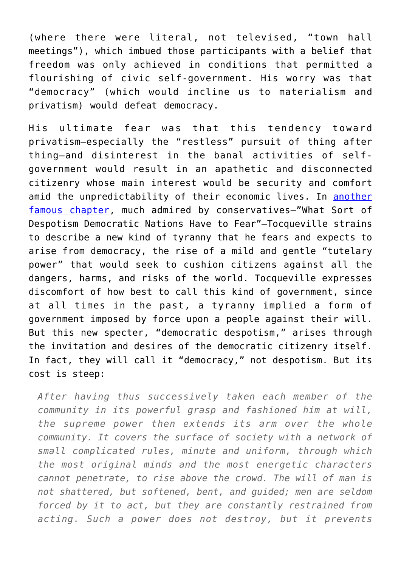(where there were literal, not televised, "town hall meetings"), which imbued those participants with a belief that freedom was only achieved in conditions that permitted a flourishing of civic self-government. His worry was that "democracy" (which would incline us to materialism and privatism) would defeat democracy.

His ultimate fear was that this tendency toward privatism—especially the "restless" pursuit of thing after thing—and disinterest in the banal activities of selfgovernment would result in an apathetic and disconnected citizenry whose main interest would be security and comfort amid the unpredictability of their economic lives. In [another](http://xroads.virginia.edu/%7EHYPER/DETOC/ch4_06.htm) [famous chapter,](http://xroads.virginia.edu/%7EHYPER/DETOC/ch4_06.htm) much admired by conservatives—"What Sort of Despotism Democratic Nations Have to Fear"—Tocqueville strains to describe a new kind of tyranny that he fears and expects to arise from democracy, the rise of a mild and gentle "tutelary power" that would seek to cushion citizens against all the dangers, harms, and risks of the world. Tocqueville expresses discomfort of how best to call this kind of government, since at all times in the past, a tyranny implied a form of government imposed by force upon a people against their will. But this new specter, "democratic despotism," arises through the invitation and desires of the democratic citizenry itself. In fact, they will call it "democracy," not despotism. But its cost is steep:

*After having thus successively taken each member of the community in its powerful grasp and fashioned him at will, the supreme power then extends its arm over the whole community. It covers the surface of society with a network of small complicated rules, minute and uniform, through which the most original minds and the most energetic characters cannot penetrate, to rise above the crowd. The will of man is not shattered, but softened, bent, and guided; men are seldom forced by it to act, but they are constantly restrained from acting. Such a power does not destroy, but it prevents*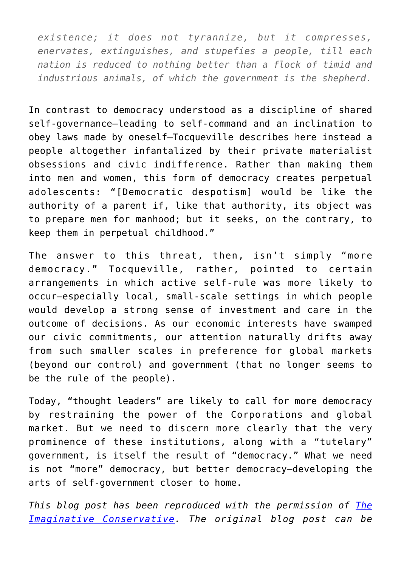*existence; it does not tyrannize, but it compresses, enervates, extinguishes, and stupefies a people, till each nation is reduced to nothing better than a flock of timid and industrious animals, of which the government is the shepherd.*

In contrast to democracy understood as a discipline of shared self-governance—leading to self-command and an inclination to obey laws made by oneself—Tocqueville describes here instead a people altogether infantalized by their private materialist obsessions and civic indifference. Rather than making them into men and women, this form of democracy creates perpetual adolescents: "[Democratic despotism] would be like the authority of a parent if, like that authority, its object was to prepare men for manhood; but it seeks, on the contrary, to keep them in perpetual childhood."

The answer to this threat, then, isn't simply "more democracy." Tocqueville, rather, pointed to certain arrangements in which active self-rule was more likely to occur—especially local, small-scale settings in which people would develop a strong sense of investment and care in the outcome of decisions. As our economic interests have swamped our civic commitments, our attention naturally drifts away from such smaller scales in preference for global markets (beyond our control) and government (that no longer seems to be the rule of the people).

Today, "thought leaders" are likely to call for more democracy by restraining the power of the Corporations and global market. But we need to discern more clearly that the very prominence of these institutions, along with a "tutelary" government, is itself the result of "democracy." What we need is not "more" democracy, but better democracy—developing the arts of self-government closer to home.

*This blog post has been reproduced with the permission of [The](http://www.imaginativeconservative.org/) [Imaginative Conservative.](http://www.imaginativeconservative.org/) The original blog post can be*